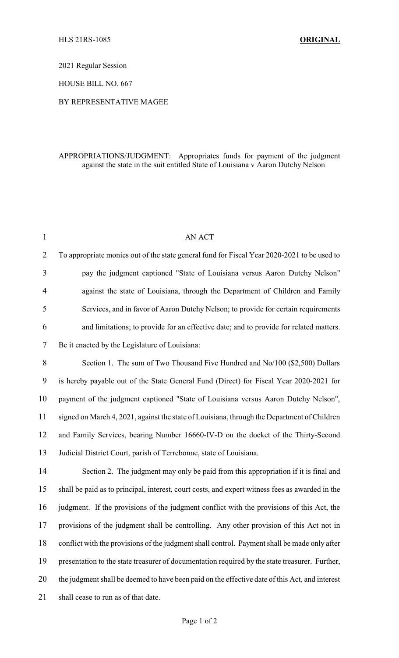2021 Regular Session

HOUSE BILL NO. 667

## BY REPRESENTATIVE MAGEE

## APPROPRIATIONS/JUDGMENT: Appropriates funds for payment of the judgment against the state in the suit entitled State of Louisiana v Aaron Dutchy Nelson

| $\mathbf{1}$   | <b>AN ACT</b>                                                                                   |  |
|----------------|-------------------------------------------------------------------------------------------------|--|
| $\overline{2}$ | To appropriate monies out of the state general fund for Fiscal Year 2020-2021 to be used to     |  |
| 3              | pay the judgment captioned "State of Louisiana versus Aaron Dutchy Nelson"                      |  |
| 4              | against the state of Louisiana, through the Department of Children and Family                   |  |
| 5              | Services, and in favor of Aaron Dutchy Nelson; to provide for certain requirements              |  |
| 6              | and limitations; to provide for an effective date; and to provide for related matters.          |  |
| 7              | Be it enacted by the Legislature of Louisiana:                                                  |  |
| 8              | Section 1. The sum of Two Thousand Five Hundred and No/100 (\$2,500) Dollars                    |  |
| 9              | is hereby payable out of the State General Fund (Direct) for Fiscal Year 2020-2021 for          |  |
| 10             | payment of the judgment captioned "State of Louisiana versus Aaron Dutchy Nelson",              |  |
| 11             | signed on March 4, 2021, against the state of Louisiana, through the Department of Children     |  |
| 12             | and Family Services, bearing Number 16660-IV-D on the docket of the Thirty-Second               |  |
| 13             | Judicial District Court, parish of Terrebonne, state of Louisiana.                              |  |
| 14             | Section 2. The judgment may only be paid from this appropriation if it is final and             |  |
| 15             | shall be paid as to principal, interest, court costs, and expert witness fees as awarded in the |  |
| 16             | judgment. If the provisions of the judgment conflict with the provisions of this Act, the       |  |
| 17             | provisions of the judgment shall be controlling. Any other provision of this Act not in         |  |
| 18             | conflict with the provisions of the judgment shall control. Payment shall be made only after    |  |
| 19             | presentation to the state treasurer of documentation required by the state treasurer. Further,  |  |
| 20             | the judgment shall be deemed to have been paid on the effective date of this Act, and interest  |  |
| 21             | shall cease to run as of that date.                                                             |  |
|                |                                                                                                 |  |